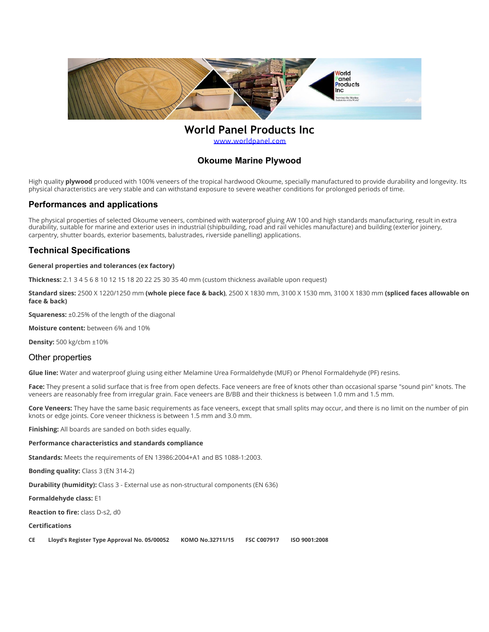

# **World Panel Products Inc**

[www.worldpanel.com](http://www.worldpanel.com/)

# **Okoume Marine Plywood**

High quality **plywood** produced with 100% veneers of the tropical hardwood Okoume, specially manufactured to provide durability and longevity. Its physical characteristics are very stable and can withstand exposure to severe weather conditions for prolonged periods of time.

### **Performances and applications**

The physical properties of selected Okoume veneers, combined with waterproof gluing AW 100 and high standards manufacturing, result in extra durability, suitable for marine and exterior uses in industrial (shipbuilding, road and rail vehicles manufacture) and building (exterior joinery, carpentry, shutter boards, exterior basements, balustrades, riverside panelling) applications.

# **Technical Specifications**

#### **General properties and tolerances (ex factory)**

**Thickness:** 2.1 3 4 5 6 8 10 12 15 18 20 22 25 30 35 40 mm (custom thickness available upon request)

**Standard sizes:** 2500 X 1220/1250 mm **(whole piece face & back)**, 2500 X 1830 mm, 3100 X 1530 mm, 3100 X 1830 mm **(spliced faces allowable on face & back)**

**Squareness:** ±0.25% of the length of the diagonal

**Moisture content:** between 6% and 10%

**Density:** 500 kg/cbm ±10%

### Other properties

**Glue line:** Water and waterproof gluing using either Melamine Urea Formaldehyde (MUF) or Phenol Formaldehyde (PF) resins.

**Face:** They present a solid surface that is free from open defects. Face veneers are free of knots other than occasional sparse "sound pin" knots. The veneers are reasonably free from irregular grain. Face veneers are B/BB and their thickness is between 1.0 mm and 1.5 mm.

**Core Veneers:** They have the same basic requirements as face veneers, except that small splits may occur, and there is no limit on the number of pin knots or edge joints. Core veneer thickness is between 1.5 mm and 3.0 mm.

**Finishing:** All boards are sanded on both sides equally.

#### **Performance characteristics and standards compliance**

**Standards:** Meets the requirements of EN 13986:2004+A1 and BS 1088-1:2003.

**Bonding quality:** Class 3 (EN 314-2)

**Durability (humidity):** Class 3 - External use as non-structural components (EN 636)

**Formaldehyde class:** E1

**Reaction to fire:** class D-s2, d0

#### **Certifications**

**CE Lloyd's Register Type Approval No. 05/00052 KOMO No.32711/15 FSC C007917 ISO 9001:2008**